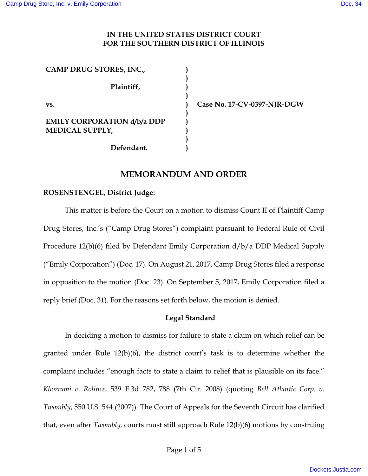### **IN THE UNITED STATES DISTRICT COURT FOR THE SOUTHERN DISTRICT OF ILLINOIS**

**) ) ) ) ) ) ) ) ) )** 

**CAMP DRUG STORES, INC., Plaintiff, vs. EMILY CORPORATION d/b/a DDP MEDICAL SUPPLY,** 

 **Defendant.** 

**Case No. 17-CV-0397-NJR-DGW** 

# **MEMORANDUM AND ORDER**

#### **ROSENSTENGEL, District Judge:**

 This matter is before the Court on a motion to dismiss Count II of Plaintiff Camp Drug Stores, Inc.'s ("Camp Drug Stores") complaint pursuant to Federal Rule of Civil Procedure 12(b)(6) filed by Defendant Emily Corporation d/b/a DDP Medical Supply ("Emily Corporation") (Doc. 17). On August 21, 2017, Camp Drug Stores filed a response in opposition to the motion (Doc. 23). On September 5, 2017, Emily Corporation filed a reply brief (Doc. 31). For the reasons set forth below, the motion is denied.

### **Legal Standard**

In deciding a motion to dismiss for failure to state a claim on which relief can be granted under Rule 12(b)(6), the district court's task is to determine whether the complaint includes "enough facts to state a claim to relief that is plausible on its face." *Khorrami v. Rolince,* 539 F.3d 782, 788 (7th Cir. 2008) (quoting *Bell Atlantic Corp. v. Twombly*, 550 U.S. 544 (2007)). The Court of Appeals for the Seventh Circuit has clarified that, even after *Twombly,* courts must still approach Rule 12(b)(6) motions by construing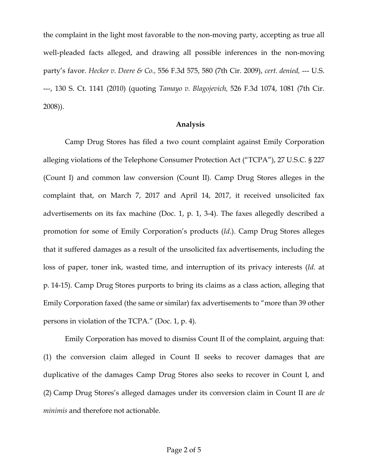the complaint in the light most favorable to the non-moving party, accepting as true all well-pleaded facts alleged, and drawing all possible inferences in the non-moving party's favor. *Hecker v. Deere & Co.,* 556 F.3d 575, 580 (7th Cir. 2009), *cert. denied,* --- U.S. ---, 130 S. Ct. 1141 (2010) (quoting *Tamayo v. Blagojevich,* 526 F.3d 1074, 1081 (7th Cir. 2008)).

#### **Analysis**

Camp Drug Stores has filed a two count complaint against Emily Corporation alleging violations of the Telephone Consumer Protection Act ("TCPA"), 27 U.S.C. § 227 (Count I) and common law conversion (Count II). Camp Drug Stores alleges in the complaint that, on March 7, 2017 and April 14, 2017, it received unsolicited fax advertisements on its fax machine (Doc. 1, p. 1, 3-4). The faxes allegedly described a promotion for some of Emily Corporation's products (*Id*.). Camp Drug Stores alleges that it suffered damages as a result of the unsolicited fax advertisements, including the loss of paper, toner ink, wasted time, and interruption of its privacy interests (*Id*. at p. 14-15). Camp Drug Stores purports to bring its claims as a class action, alleging that Emily Corporation faxed (the same or similar) fax advertisements to "more than 39 other persons in violation of the TCPA." (Doc. 1, p. 4).

Emily Corporation has moved to dismiss Count II of the complaint, arguing that: (1) the conversion claim alleged in Count II seeks to recover damages that are duplicative of the damages Camp Drug Stores also seeks to recover in Count I, and (2) Camp Drug Stores's alleged damages under its conversion claim in Count II are *de minimis* and therefore not actionable.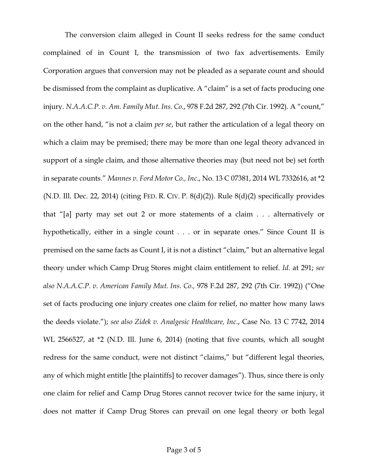The conversion claim alleged in Count II seeks redress for the same conduct complained of in Count I, the transmission of two fax advertisements. Emily Corporation argues that conversion may not be pleaded as a separate count and should be dismissed from the complaint as duplicative. A "claim" is a set of facts producing one injury. *N.A.A.C.P. v. Am. Family Mut. Ins. Co*., 978 F.2d 287, 292 (7th Cir. 1992). A "count," on the other hand, "is not a claim *per se*, but rather the articulation of a legal theory on which a claim may be premised; there may be more than one legal theory advanced in support of a single claim, and those alternative theories may (but need not be) set forth in separate counts." *Mannes v. Ford Motor Co., Inc*., No. 13 C 07381, 2014 WL 7332616, at \*2 (N.D. Ill. Dec. 22, 2014) (citing FED. R. CIV. P.  $8(d)(2)$ ). Rule  $8(d)(2)$  specifically provides that "[a] party may set out 2 or more statements of a claim . . . alternatively or hypothetically, either in a single count . . . or in separate ones." Since Count II is premised on the same facts as Count I, it is not a distinct "claim," but an alternative legal theory under which Camp Drug Stores might claim entitlement to relief. *Id*. at 291; *see also N.A.A.C.P. v. American Family Mut. Ins. Co.,* 978 F.2d 287, 292 (7th Cir. 1992)) ("One set of facts producing one injury creates one claim for relief, no matter how many laws the deeds violate."); *see also Zidek v. Analgesic Healthcare, Inc*., Case No. 13 C 7742, 2014 WL 2566527, at \*2 (N.D. Ill. June 6, 2014) (noting that five counts, which all sought redress for the same conduct, were not distinct "claims," but "different legal theories, any of which might entitle [the plaintiffs] to recover damages"). Thus, since there is only one claim for relief and Camp Drug Stores cannot recover twice for the same injury, it does not matter if Camp Drug Stores can prevail on one legal theory or both legal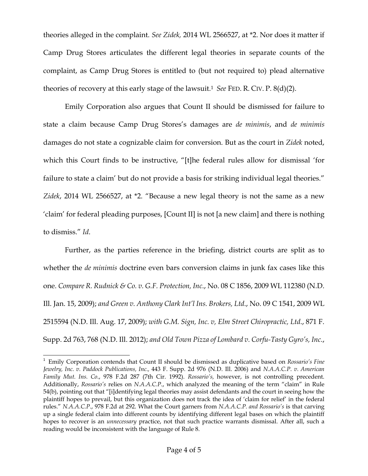theories alleged in the complaint. *See Zidek,* 2014 WL 2566527, at \*2. Nor does it matter if Camp Drug Stores articulates the different legal theories in separate counts of the complaint, as Camp Drug Stores is entitled to (but not required to) plead alternative theories of recovery at this early stage of the lawsuit.<sup>1</sup> *See* FED. R. CIV. P. 8(d)(2).

Emily Corporation also argues that Count II should be dismissed for failure to state a claim because Camp Drug Stores's damages are *de minimis*, and *de minimis* damages do not state a cognizable claim for conversion. But as the court in *Zidek* noted, which this Court finds to be instructive, "[t]he federal rules allow for dismissal 'for failure to state a claim' but do not provide a basis for striking individual legal theories." *Zidek*, 2014 WL 2566527, at \*2. "Because a new legal theory is not the same as a new 'claim' for federal pleading purposes, [Count II] is not [a new claim] and there is nothing to dismiss." *Id*.

Further, as the parties reference in the briefing, district courts are split as to whether the *de minimis* doctrine even bars conversion claims in junk fax cases like this one. *Compare R. Rudnick & Co. v. G.F. Protection, Inc*., No. 08 C 1856, 2009 WL 112380 (N.D. Ill. Jan. 15, 2009); *and Green v. Anthony Clark Int'l Ins. Brokers, Ltd*., No. 09 C 1541, 2009 WL 2515594 (N.D. Ill. Aug. 17, 2009); *with G.M. Sign, Inc. v, Elm Street Chiropractic, Ltd*., 871 F. Supp. 2d 763, 768 (N.D. Ill. 2012); *and Old Town Pizza of Lombard v. Corfu-Tasty Gyro's, Inc*.,

-

<sup>1</sup> Emily Corporation contends that Count II should be dismissed as duplicative based on *Rossario's Fine Jewelry, Inc. v. Paddock Publications, Inc.,* 443 F. Supp. 2d 976 (N.D. Ill. 2006) and *N.A.A.C.P*. *v. American Family Mut. Ins. Co*., 978 F.2d 287 (7th Cir. 1992). *Rossario's,* however, is not controlling precedent. Additionally, *Rossario's* relies on *N.A.A.C.P*., which analyzed the meaning of the term "claim" in Rule 54(b), pointing out that "[i]dentifying legal theories may assist defendants and the court in seeing how the plaintiff hopes to prevail, but this organization does not track the idea of 'claim for relief' in the federal rules." *N.A.A.C.P*., 978 F.2d at 292. What the Court garners from *N.A.A.C.P. and Rossario's* is that carving up a single federal claim into different counts by identifying different legal bases on which the plaintiff hopes to recover is an *unnecessary* practice, not that such practice warrants dismissal. After all, such a reading would be inconsistent with the language of Rule 8.